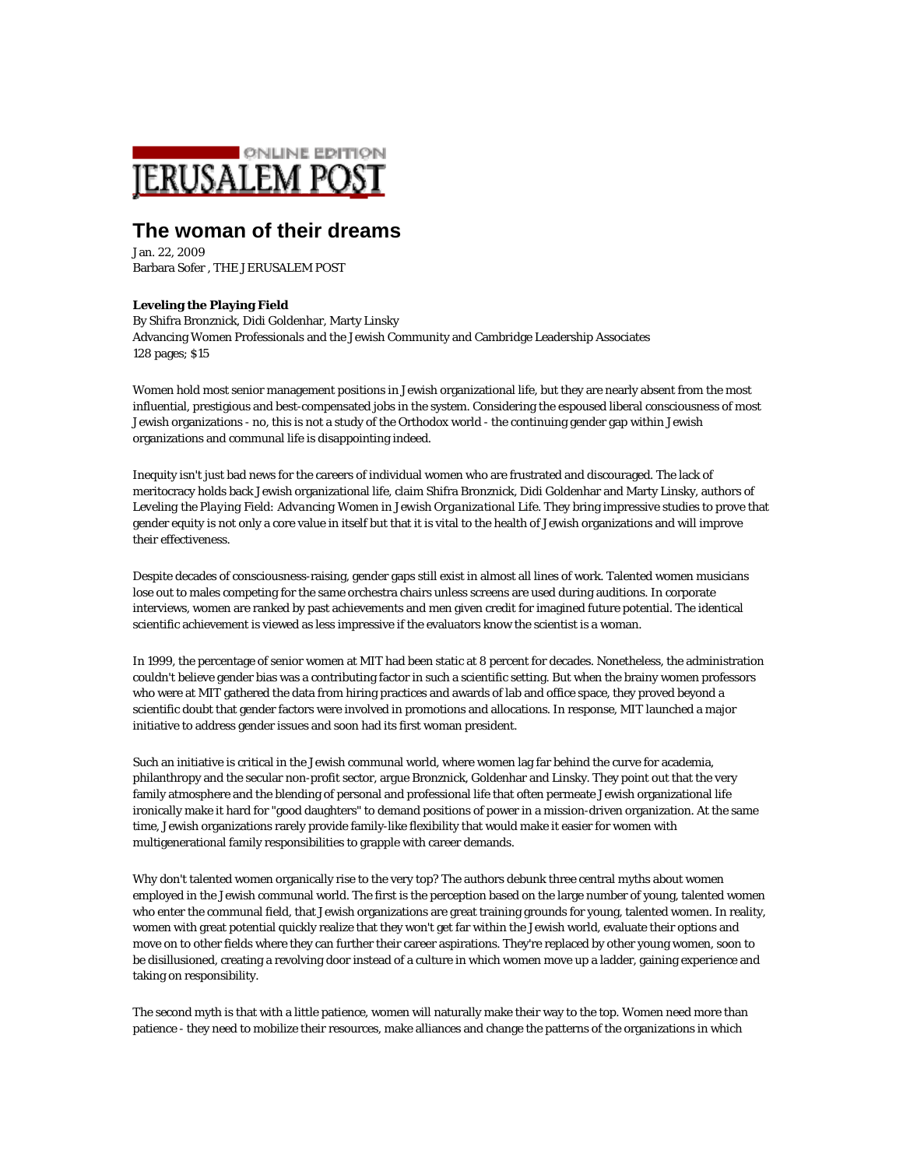

## **The woman of their dreams**

Jan. 22, 2009 Barbara Sofer , THE JERUSALEM POST

## **Leveling the Playing Field**

By Shifra Bronznick, Didi Goldenhar, Marty Linsky Advancing Women Professionals and the Jewish Community and Cambridge Leadership Associates 128 pages; \$15

Women hold most senior management positions in Jewish organizational life, but they are nearly absent from the most influential, prestigious and best-compensated jobs in the system. Considering the espoused liberal consciousness of most Jewish organizations - no, this is not a study of the Orthodox world - the continuing gender gap within Jewish organizations and communal life is disappointing indeed.

Inequity isn't just bad news for the careers of individual women who are frustrated and discouraged. The lack of meritocracy holds back Jewish organizational life, claim Shifra Bronznick, Didi Goldenhar and Marty Linsky, authors of *Leveling the Playing Field: Advancing Women in Jewish Organizational Life*. They bring impressive studies to prove that gender equity is not only a core value in itself but that it is vital to the health of Jewish organizations and will improve their effectiveness.

Despite decades of consciousness-raising, gender gaps still exist in almost all lines of work. Talented women musicians lose out to males competing for the same orchestra chairs unless screens are used during auditions. In corporate interviews, women are ranked by past achievements and men given credit for imagined future potential. The identical scientific achievement is viewed as less impressive if the evaluators know the scientist is a woman.

In 1999, the percentage of senior women at MIT had been static at 8 percent for decades. Nonetheless, the administration couldn't believe gender bias was a contributing factor in such a scientific setting. But when the brainy women professors who were at MIT gathered the data from hiring practices and awards of lab and office space, they proved beyond a scientific doubt that gender factors were involved in promotions and allocations. In response, MIT launched a major initiative to address gender issues and soon had its first woman president.

Such an initiative is critical in the Jewish communal world, where women lag far behind the curve for academia, philanthropy and the secular non-profit sector, argue Bronznick, Goldenhar and Linsky. They point out that the very family atmosphere and the blending of personal and professional life that often permeate Jewish organizational life ironically make it hard for "good daughters" to demand positions of power in a mission-driven organization. At the same time, Jewish organizations rarely provide family-like flexibility that would make it easier for women with multigenerational family responsibilities to grapple with career demands.

Why don't talented women organically rise to the very top? The authors debunk three central myths about women employed in the Jewish communal world. The first is the perception based on the large number of young, talented women who enter the communal field, that Jewish organizations are great training grounds for young, talented women. In reality, women with great potential quickly realize that they won't get far within the Jewish world, evaluate their options and move on to other fields where they can further their career aspirations. They're replaced by other young women, soon to be disillusioned, creating a revolving door instead of a culture in which women move up a ladder, gaining experience and taking on responsibility.

The second myth is that with a little patience, women will naturally make their way to the top. Women need more than patience - they need to mobilize their resources, make alliances and change the patterns of the organizations in which